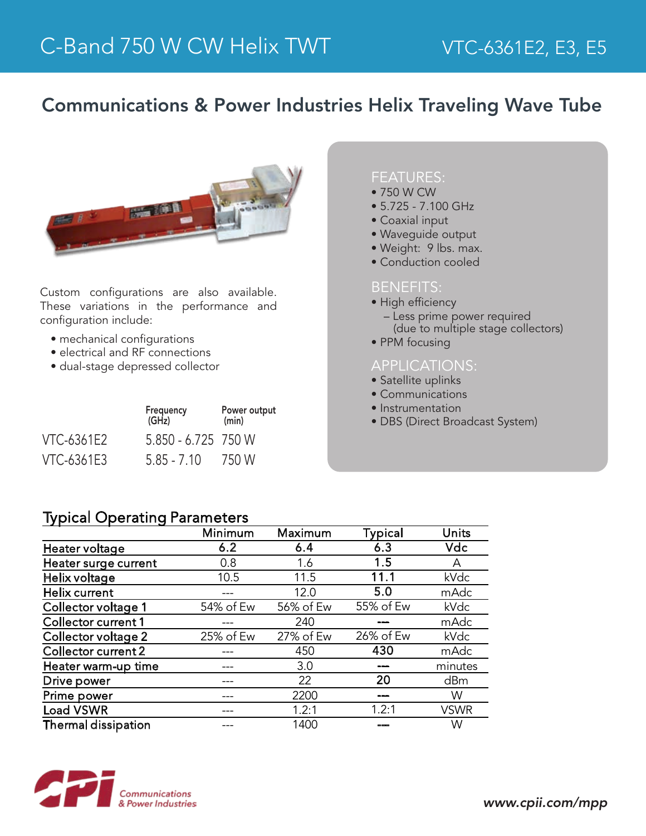## Communications & Power Industries Helix Traveling Wave Tube



Custom configurations are also available. These variations in the performance and configuration include:

- mechanical configurations
- electrical and RF connections
- dual-stage depressed collector

| Frequency<br>(GHz) |                     | Power output<br>(min) |  |
|--------------------|---------------------|-----------------------|--|
| VTC-6361E2         | 5.850 - 6.725 750 W |                       |  |
| VTC-6361E3         | $5.85 - 7.10$       | 750 W                 |  |

#### FEATURES:

- 750 W CW
- 5.725 7.100 GHz
- Coaxial input
- Waveguide output
- Weight: 9 lbs. max.
- Conduction cooled

#### BENEFITS:

- High efficiency
	- Less prime power required (due to multiple stage collectors)
- PPM focusing

#### APPLICATIONS:

- Satellite uplinks
- Communications
- Instrumentation
- DBS (Direct Broadcast System)

### Typical Operating Parameters

|                            | Minimum   | Maximum   | <b>Typical</b> | Units       |
|----------------------------|-----------|-----------|----------------|-------------|
| Heater voltage             | 6.2       | 6.4       | 6.3            | <b>Vdc</b>  |
| Heater surge current       | 0.8       | 1.6       | 1.5            | A           |
| Helix voltage              | 10.5      | 11.5      | 11.1           | kVdc        |
| Helix current              |           | 12.0      | 5.0            | mAdc        |
| Collector voltage 1        | 54% of Ew | 56% of Ew | 55% of Ew      | kVdc        |
| Collector current 1        |           | 240       |                | mAdc        |
| Collector voltage 2        | 25% of Ew | 27% of Ew | 26% of Ew      | kVdc        |
| Collector current 2        |           | 450       | 430            | mAdc        |
| Heater warm-up time        |           | 3.0       |                | minutes     |
| Drive power                |           | 22        | 20             | dBm         |
| Prime power                |           | 2200      |                | W           |
| <b>Load VSWR</b>           |           | 1.2:1     | 1.2:1          | <b>VSWR</b> |
| <b>Thermal dissipation</b> |           | 1400      |                | W           |